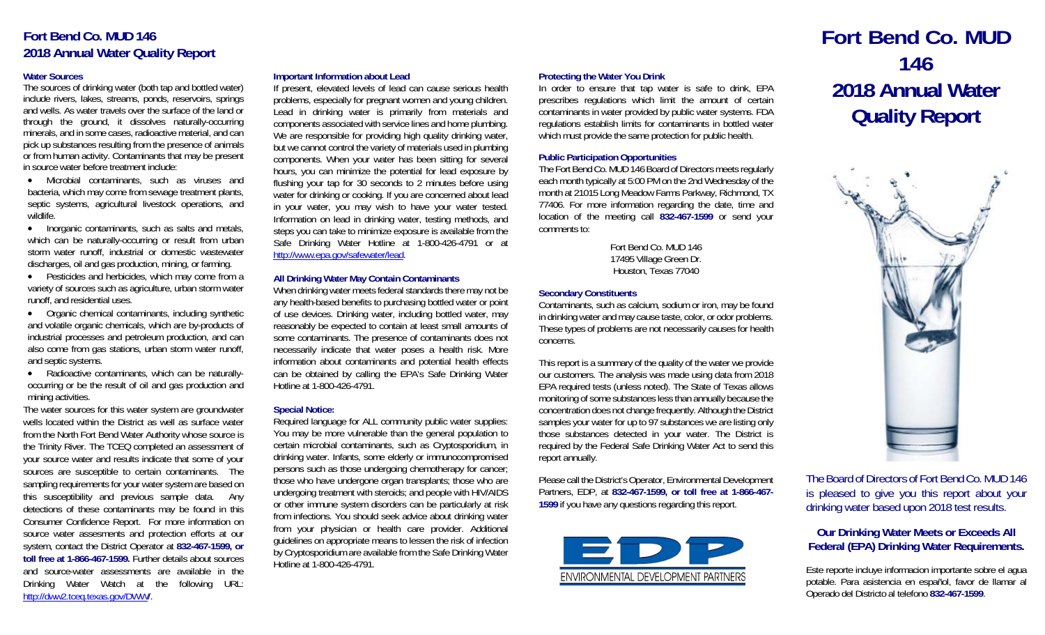## **Fort Bend Co. MUD 146 2018 Annual Water Quality Report**

### **Water Sources**

The sources of drinking water (both tap and bottled water) include rivers, lakes, streams, ponds, reservoirs, springs and wells. As water travels over the surface of the land or through the ground, it dissolves naturally-occurring minerals, and in some cases, radioactive material, and can pick up substances resulting from the presence of animals or from human activity. Contaminants that may be present in source water before treatment include:

 Microbial contaminants, such as viruses and bacteria, which may come from sewage treatment plants, septic systems, agricultural livestock operations, and wildlife.

• Inorganic contaminants, such as salts and metals, which can be naturally-occurring or result from urban storm water runoff, industrial or domestic wastewater discharges, oil and gas production, mining, or farming.

 Pesticides and herbicides, which may come from a variety of sources such as agriculture, urban storm water runoff, and residential uses.

 Organic chemical contaminants, including synthetic and volatile organic chemicals, which are by-products of industrial processes and petroleum production, and can also come from gas stations, urban storm water runoff, and septic systems.

• Radioactive contaminants, which can be naturallyoccurring or be the result of oil and gas production and mining activities.

The water sources for this water system are groundwater wells located within the District as well as surface water from the North Fort Bend Water Authority whose source is the Trinity River. The TCEQ completed an assessment of your source water and results indicate that some of your sources are susceptible to certain contaminants. The sampling requirements for your water system are based on this susceptibility and previous sample data. Any detections of these contaminants may be found in this Consumer Confidence Report. For more information on source water assesments and protection efforts at our system, contact the District Operator at **832-467-1599, or toll free at 1-866-467-1599.** Further details about sources and source-water assessments are available in the Drinking Water Watch at the following URL: http://dww2.tceq.texas.gov/DWW/.

### **Important Information about Lead**

If present, elevated levels of lead can cause serious health problems, especially for pregnant women and young children. Lead in drinking water is primarily from materials and components associated with service lines and home plumbing. We are responsible for providing high quality drinking water, but we cannot control the variety of materials used in plumbing components. When your water has been sitting for several hours, you can minimize the potential for lead exposure by flushing your tap for 30 seconds to 2 minutes before using water for drinking or cooking. If you are concerned about lead in your water, you may wish to have your water tested. Information on lead in drinking water, testing methods, and steps you can take to minimize exposure is available from the Safe Drinking Water Hotline at 1-800-426-4791 or at http://www.epa.gov/safewater/lead.

### **All Drinking Water May Contain Contaminants**

When drinking water meets federal standards there may not be any health-based benefits to purchasing bottled water or point of use devices. Drinking water, including bottled water, may reasonably be expected to contain at least small amounts of some contaminants. The presence of contaminants does not necessarily indicate that water poses a health risk. More information about contaminants and potential health effects can be obtained by calling the EPA's Safe Drinking Water Hotline at 1-800-426-4791.

### **Special Notice:**

Required language for ALL community public water supplies: You may be more vulnerable than the general population to certain microbial contaminants, such as Cryptosporidium, in drinking water. Infants, some elderly or immunocompromised persons such as those undergoing chemotherapy for cancer; those who have undergone organ transplants; those who are undergoing treatment with steroids; and people with HIV/AIDS or other immune system disorders can be particularly at risk from infections. You should seek advice about drinking water from your physician or health care provider. Additional guidelines on appropriate means to lessen the risk of infection by Cryptosporidium are available from the Safe Drinking Water Hotline at 1-800-426-4791.

### **Protecting the Water You Drink**

In order to ensure that tap water is safe to drink, EPA prescribes regulations which limit the amount of certain contaminants in water provided by public water systems. FDA regulations establish limits for contaminants in bottled water which must provide the same protection for public health.

### **Public Participation Opportunities**

The Fort Bend Co. MUD 146 Board of Directors meets regularly each month typically at 5:00 PM on the 2nd Wednesday of the month at 21015 Long Meadow Farms Parkway, Richmond, TX 77406. For more information regarding the date, time and location of the meeting call **832-467-1599** or send your comments to:

> Fort Bend Co. MUD 146 17495 Village Green Dr. Houston, Texas 77040

### **Secondary Constituents**

Contaminants, such as calcium, sodium or iron, may be found in drinking water and may cause taste, color, or odor problems. These types of problems are not necessarily causes for health concerns.

This report is a summary of the quality of the water we provide our customers. The analysis was made using data from 2018 EPA required tests (unless noted). The State of Texas allows monitoring of some substances less than annually because the concentration does not change frequently. Although the District samples your water for up to 97 substances we are listing only those substances detected in your water. The District is required by the Federal Safe Drinking Water Act to send this report annually.

Please call the District's Operator, Environmental Development Partners, EDP, at **832-467-1599, or toll free at 1-866-467- 1599** if you have any questions regarding this report.



# **Fort Bend Co. MUD 146 2018 Annual Water Quality Report**



The Board of Directors of Fort Bend Co. MUD 146 is pleased to give you this report about your drinking water based upon 2018 test results.

## **Our Drinking Water Meets or Exceeds All Federal (EPA) Drinking Water Requirements.**

Este reporte incluye informacion importante sobre el agua potable. Para asistencia en español, favor de llamar al Operado del Districto al telefono **832-467-1599**.